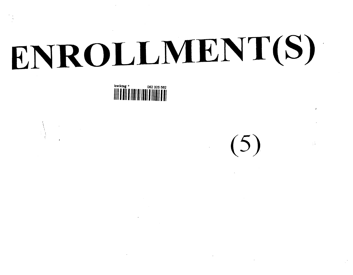# ENROLLMENT(S)



 $(5)$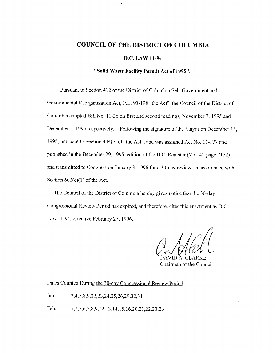# **COUNCIL OF THE DISTRICT OF COLUMBIA**

## **D.C. LAW 11-94**

# **"Solid Waste Facility Permit Act of 1995".**

Pursuant to Section 412 of the District of Columbia Self-Government and Governmental Reorganization Act, P.L. 93-198 "the Act", the Council of the District of Columbia adopted Bill No. 11-36 on first and second readings, November 7, 1995 and December 5, 1995 respectively. Following the signature of the Mayor on December 18, 1995, pursuant to Section 404(e) of "the Act", and was assigned Act No. 11-177 and published in the December 29, 1995, edition of the D.C. Register (Vol. 42 page 7172) and transmitted to Congress on January 3, 1996 for a 30-day review, in accordance with Section  $602(c)(1)$  of the Act.

The Council of the District of Columbia hereby gives notice that the 30-day Congressional Review Period has expired, and therefore, cites this enactment as D.C. Law 11-94, effective February 27, 1996.

DAVID A. CLARKE Chairman of the Council

Dates Counted During the 30-day Congressional Review Period:

Jan. 3,4,5,8,9,22,23,24,25,26,29,30,31

Feb. 1,2,5,6,7,8,9,12,13,14,15,16,20,21,22,23,26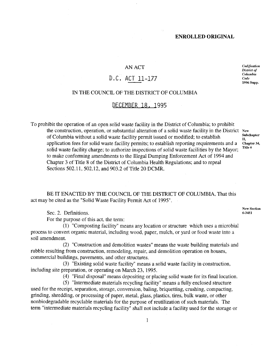# AN ACT

# D,C, ACT 11-177

# IN THE COUNCIL OF THE DISTRICT OF COLUMBIA

# DECEMBER 18. 1995

To prohibit the operation of an open solid waste facility in the District of Columbia; to prohibit the construction, operation, or substantial alteration of a solid waste facility in the District New of Columbia without a solid waste facility permit issued or modified; to establish application fees for solid waste facility permits; to establish reporting requirements and a solid waste facility charge; to authorize inspections of solid waste facilities by the Mayor; to make conforming amendments to the Illegal Dumping Enforcement Act of 1994 and Chapter 3 of Title 8 of the District of Columbia Health Regulations; and to repeal Sections 502.11, 502.12, and 903.2 of Title 20 DCMR.

**Subchapter** П. **Chapter** 34, Title 6

**New Section** 6-3451

*Codification District of Columbia Code* 1996 Supp.

BE IT ENACTED BY THE COUNCIL OF THE DISTRICT OF COLUMBIA, That this act may be cited as the "Solid Waste Facility Permit Act of 1995".

Sec. 2. Definitions.

For the purpose of this act, the term:

(1) "Composting facility" means any location or structure which uses a microbial process to convert organic material, including wood, paper, mulch, or yard or food waste into a soil amendment.

(2) "Construction and demolition wastes" means the waste building materials and rubble resulting from construction, remodeling, repair, and demolition operation on houses, commercial buildings, pavements, and other structures.

(3) "Existing solid waste facility" means a solid waste facility in construction, including site preparation, or operating on March 23, 1995.

(4) "Final disposal" means depositing or placing solid waste for its final location.

(5) "Intermediate materials recycling facility" means a fully enclosed structure used for the receipt, separation, storage, conversion, baling, briquetting, crushing, compacting, grinding, shredding, or processing of paper, metal, glass, plastics, tires, bulk waste, or other nonbiodegradable recyclable materials for the purpose of reutilization of such materials. The term "intermediate materials recycling facility" shall not include a facility used for the storage or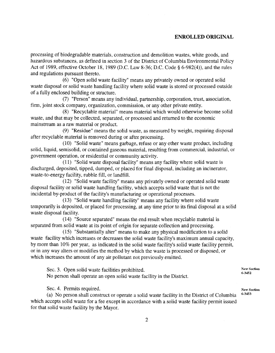processing of biodegradable materials, construction and demolition wastes, white goods, and hazardous substances, as defined in section 3 of the District of Columbia Environmental Policy Act of 1989, effective October 18, 1989 (D.C. Law 8-36; D.C. Code § 6-982(4)), and the rules and regulations pursuant thereto.

(6) "Open solid waste facility" means any privately owned or operated solid waste disposal or solid waste handling facility where solid waste is stored or processed outside of a fully enclosed building or structure.

(7) "Person" means any individual, partnership, corporation, trust, association, firm, joint stock company, organization, commission, or any other private entity.

(8) "Recyclable material" means material which would otherwise become solid waste, and that may be collected, separated, or processed and returned to the economic mainstream as a raw material or product.

(9) "Residue" means the solid waste, as measured by weight, requiring disposal after recyclable material is removed during or after processing.

(10) "Solid waste" means garbage, refuse or any other waste product, including solid, liquid, semisolid, or contained gaseous material, resulting from commercial, industrial, or government operation, or residential or community activity.

(11) "Solid waste disposal facility" means any facility where solid waste is discharged, deposited, tipped, dumped, or placed for final disposal, including an incinerator, waste-to-energy facility, rubble fill, or landfill.

(12) "Solid waste facility" means any privately owned or operated solid waste disposal facility or solid waste handling facility, which accepts solid waste that is not the incidental by-product of the facility's manufacturing or operational processes.

(13) "Solid waste handling facility" means any facility where solid waste temporarily is deposited, or placed for processing, at any time prior to its final disposal at a solid waste disposal facility.

(14) "Source separated" means the end result when recyclable material is separated from solid waste at its point of origin for separate collection and processing.

(15) "Substantially alter" means to make any physical modification to a solid waste facility which increases or decreases the solid waste facility's maximum annual capacity, by more than 10% per year, as indicated in the solid waste facility's solid waste facility permit, or in any way alters or modifies the method by which the waste is processed or disposed, or which increases the amount of any air pollutant not previously emitted.

Sec. 3. Open solid waste facilities prohibited. No person shall operate an open solid waste facility in the District.

Sec. 4. Permits required.

(a) No person shall construct or operate a solid waste facility in the District of Columbia which accepts solid waste for a fee except in accordance with a solid waste facility permit issued for that solid waste facility by the Mayor.

**New Section** 6-3452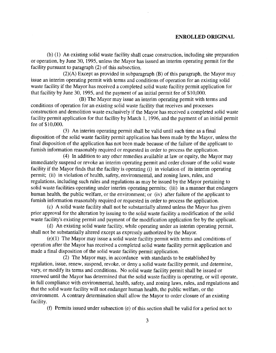(b) (1) An existing solid waste facility shall cease construction, including site preparation or operation, by June 30, 1995, unless the Mayor has issued an interim operating permit for the facility pursuant to paragraph (2) of this subsection.

(2)(A) Except as provided in subparagraph (B) of this paragraph, the Mayor may issue an interim operating permit with terms and conditions of operation for an existing solid waste facility if the Mayor has received a completed solid waste facility permit application for that facility by June 30, 1995, and the payment of an initial permit fee of \$10,000.

(B) The Mayor may issue an interim operating permit with terms and conditions of operation for an existing solid waste facility that receives and processes construction and demolition waste exclusively if the Mayor has received a completed solid waste facility permit application for that facility by March 1, 1996, and the payment of an initial permit fee of \$10,000.

(3) An interim operating permit shall be valid until such time as a final disposition of the solid waste facility permit application has been made by the Mayor, unless the final disposition of the application has not been made because of the failure of the applicant to furnish information reasonably required or requested in order to process the application.

(4) In addition to any other remedies available at law or equity, the Mayor may immediately suspend or revoke an interim operating permit and order closure of the solid waste facility if the Mayor finds that the facility is operating (i) in violation of its interim operating permit; (ii) in violation of health, safety, environmental, and zoning laws, rules, and regulations, including such rules and regulations as may be issued by the Mayor pertaining to solid waste facilities operating under interim operating permits; (iii) in a manner that endangers human health, the public welfare, or the environment; or (iv) after failure of the applicant to furnish information reasonably required or requested in order to process the application.

(c) A solid waste facility shall not be substantially altered unless the Mayor has given prior approval for the alteration by issuing to the solid waste facility a modification of the solid waste facility's existing permit and payment of the modification application fee by the applicant.

(d) An existing solid waste facility, while operating under an interim operating permit, shall not be substantially altered except as expressly authorized by the Mayor.

(e)(1) The Mayor may issue a solid waste facility permit with terms and conditions of operation after the Mayor has received a completed solid waste facility permit application and made a final disposition of the solid waste facility permit application.

(2) The Mayor may, in accordance with standards to be established by regulation, issue, renew, suspend, revoke, or deny a solid waste facility permit, and determine, vary, or modify its terms and conditions. No solid waste facility permit shall be issued or renewed until the Mayor has determined that the solid waste facility is operating, or will operate, in full compliance with environmental, health, safety, and zoning laws, rules, and regulations and that the solid waste facility will not endanger human health, the public welfare, or the environment. A contrary determination shall allow the Mayor to order closure of an existing facility.

(f) Permits issued under subsection (e) of this section shall be valid for a period not to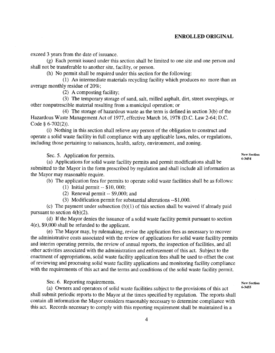exceed 3 years from the date of issuance.

(g) Each permit issued under this section shall be limited to one site and one person and shall not be transferable to another site, facility, or person.

(h) No permit shall be required under this section for the following:

(1) An intermediate materials recycling facility which produces no more than an average monthly residue of 20%;

(2) A composting facility;

(3) The temporary storage of sand, salt, milled asphalt, dirt, street sweepings, or other nonputrescible material resulting from a municipal operation; or

(4) The storage of hazardous waste as the term is defined in section 3(b) of the Hazardous Waste Management Act of 1977, effective March 16, 1978 (D.C. Law 2-64; D.C. Code § 6-702(2)).

(i) Nothing in this section shall relieve any person of the obligation to construct and operate a solid waste facility in full compliance with any applicable laws, rules, or regulations, including those pertaining to nuisances, health, safety, environment, and zoning.

Sec. 5. Application for permits.

(a) Applications for solid waste facility permits and permit modifications shall be submitted to the Mayor in the form prescribed by regulation and shall include all information as the Mayor may reasonable require.

(b) The application fees for permits to operate solid waste facilities shall be as follows:

- (1) Initial permit -- \$10, 000;
- (2) Renewal permit -- \$9,000; and

(3) Modification permit for substantial alterations --\$1,000.

(c) The payment under subsection (b)(1) of this section shall be waived if already paid pursuant to section 4(b)(2).

(d) If the Mayor denies the issuance of a solid waste facility permit pursuant to section 4(e), \$9,000 shall be refunded to the applicant.

(e) The Mayor may, by rulemaking, revise the application fees as necessary to recover the administrative costs associated with the review of applications for solid waste facility permits and interim operating permits, the review of annual reports, the inspection of facilities, and all other activities associated with the administration and enforcement of this act. Subject to the enactment of appropriations, solid waste facility application fees shall be used to offset the cost of reviewing and processing solid waste facility applications and monitoring facility compliance with the requirements of this act and the terms and conditions of the solid waste facility permit.

Sec. 6. Reporting requirements.

(a) Owners and operators of solid waste facilities subject to the provisions of this act shall submit periodic reports to the Mayor at the times specified by regulation. The reports shall contain all information the Mayor considers reasonably necessary to determine compliance with this act. Records necessary to comply with this reporting requirement shall be maintained in a

**New** Section 6-3454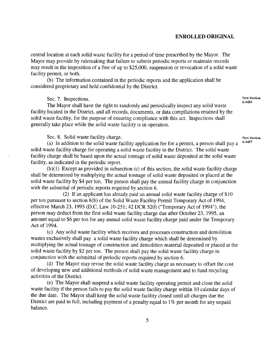central location at each solid waste facility for a period of time prescribed by the Mayor. The Mayor may provide by rulemaking that failure to submit periodic reports or maintain records may result in the imposition of a fine of up to \$25,000, suspension or revocation of a solid waste facility permit, or both.

(b) The information contained in the periodic reports and the application shall be considered proprietary and held confidential by the District.

Sec. 7. Inspections.

The Mayor shall have the right to randomly and periodically inspect any solid waste facility located in the District, and all records, documents, or data compilations retained by the solid waste facility, for the purpose of ensuring compliance with this act. Inspections shall generally take place while the solid waste facility is in operation.

Sec. 8. Solid waste facility charge.

(a) In addition to the solid waste facility application fee for a permit, a person shall pay a solid waste facility charge for operating a solid waste facility in the District. The solid waste facility charge shall be based upon the actual tonnage of solid waste deposited at the solid waste facility, as indicated in the periodic report.

(b)(1) Except as provided in subsection (c) of this section, the solid waste facility charge shall be determined by multiplying the actual tonnage of solid waste deposited or placed at the solid waste facility by \$4 per ton. The person shall pay the annual facility charge in conjunction with the submittal of periodic reports required by section 6.

(2) If an applicant has already paid an annual solid waste facility charge of \$10 per ton pursuant to section 8(b) of the Solid Waste Facility Permit Temporary Act of 1994, effective March 23, 1995 (D.C. Law 10-251; 42 DCR 520) ("Temporary Act of 1994"), the person may deduct from the first solid waste facility charge due after October 23, 1995, an amount equal to \$6 per ton for any annual solid waste facility charge paid under the Temporary Act of 1994.

(c) Any solid waste facility which receives and processes construction and demolition wastes exclusively shall pay a solid waste facility charge which shall be determined by multiplying the actual tonnage of construction and demolition material deposited or placed at the solid waste facility by \$2 per ton. The person shall pay the solid waste facility charge in conjunction with the submittal of periodic reports required by section 6.

(d) The Mayor may revise the solid waste facility charge as necessary to offset the cost of developing new and additional methods of solid waste management and to fund recycling activities of the District.

(e) The Mayor shall suspend a solid waste facility operating permit and close the solid waste facility if the person fails to pay the solid waste facility charge within 10 calendar days of the due date. The Mayor shall keep the solid waste facility closed until all charges due the District are paid in full, including payment of a penalty equal to 1% per month for any unpaid balance.

**New Section** 6-3456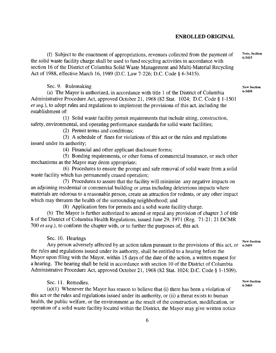(f) Subject to the enactment of appropriations, revenues collected from the payment of the solid waste facility charge shall be used to fund recycling activities in accordance with section 16 of the District of Columbia Solid Waste Management and Multi-Material Recycling Act of 1988, effective March 16, 1989 (D.C. Law 7-226; D.C. Code § 6-3415).

Sec. 9. Rulemaking

(a) The Mayor is authorized, in accordance with title 1 of the District of Columbia Administrative Procedure Act, approved October 21, 1968 (82 Stat. 1024; D.C. Code § 1-1501 *et seq.),* to adopt rules and regulations to implement the provisions of this act, including the establishment of:

(1) Solid waste facility permit requirements that include siting, construction, safety, environmental, and operating performance standards for solid waste facilities;

(2) Permit terms and conditions;

(3) A schedule of fines for violations of this act or the rules and regulations issued under its authority;

(4) Financial and other applicant disclosure forms;

(5) Bonding requirements, or other forms of commercial insurance, or such other mechanisms as the Mayor may deem appropriate;

(6) Procedures to ensure the prompt and safe removal of solid waste from a solid waste facility which has permanently ceased operation;

(7) Procedures to assure that the facility will minimize any negative impacts on an adjoining residential or commercial building or areas including deleterious impacts where materials are odorous to a reasonable person, create an attraction for rodents, or any other impact which may threaten the health of the surrounding neighborhood; and

(8) Application fees for permits and a solid waste facility charge.

(b) The Mayor is further authorized to amend or repeal any provision of chapter 3 of title 8 of the District of Columbia Health Regulations, issued June 29, 1971 (Reg. 71-21; 21 DCMR 700 *et seq.),* to conform the chapter with, or to further the purposes of, this act.

Sec. 10. Hearings

**New Section**

**New Section** 6-3460

Any person adversely affected by an action taken pursuant to the provisions of this act, or 6-3459 the rules and regulations issued under its authority, shall be entitled to a hearing before the Mayor upon filing with the Mayor, within 15 days of the date of the action, a written request for a hearing. The hearing shall be held in accordance with section 10 of the District of Columbia Administrative Procedure Act, approved October 21, 1968 (82 Stat. 1024; D.C. Code § 1-1509).

Sec. 11. Remedies.

(a)(1) Whenever the Mayor has reason to believe that (i) there has been a violation of this act or the rules and regulations issued under its authority, or (ii) a threat exists to human health, the public welfare, or the environment as the result of the construction, modification, or operation of a solid waste facility located within the District, the Mayor may give written notice

**Note, Section** 6-3415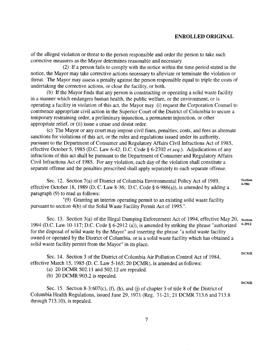of the alleged violation or threat to the person responsible and order the person to take such corrective measures as the Mayor determines reasonable and necessary.

(2) If a person fails to comply with the notice within the time period stated in the notice, the Mayor may take corrective actions necessary to alleviate or terminate the violation or threat. The Mayor may assess a penalty against the person responsible equal to triple the costs of undertaking the corrective actions, or close the facility, or both.

(b) ff the Mayor finds that any person is constructing or operating a solid waste facility in a manner which endangers human health, the public welfare, or the environment, or is operating a facility in violation of this act, the Mayor may (i) request the Corporation Counsel to commence appropriate civil action in the Superior Court of the District of Columbia to secure a temporary restraining order, a preliminary injunction, a permanent injunction, or other appropriate relief, or (ii) issue a cease and desist order.

(c) The Mayor or any court may impose civil fines, penalties, costs, and fees as alternate sanctions for violations of this act, or the rules and regulations issued under its authority, pursuant to the Department of Consumer and Regulatory Affairs Civil Infractions Act of 1985, effective October 5, 1985 (D.C. Law 6-42; D.C. Code § 6-2702 *et seq.).* Adjudications of any infractions of this act shall be pursuant to the Department of Consumer and Regulatory Affairs Civil Infractions Act of 1985. For any violation, each day of the violation shall constitute a separate offense and the penalties prescribed shall apply separately to each separate offense.

Sec. 12. Section 7(a) of District of Columbia Environmental Policy Act of 1989, effective October 18, 1989 (D. C. Law 8-36; D.C. Code  $\S$  6-986(a)), is amended by adding a paragraph (9) to read as follows:

"(9) Granting an interim operating permit to an existing solid waste facility pursuant to section 4(b) of the Solid Waste Facility Permit Act of 1995.".

Sec. 13. Section 3(a) of the Illegal Dumping Enforcement Act of 1994, effective May 20, 1994 (D.C. Law 10-117; D.C. Code § 6-2912 (a)), is amended by striking the phrase "authorized for the disposal of solid waste by the Mayor" and inserting the phrase "a solid waste facility owned or operated by the District of Columbia, or is a solid waste facility which has obtained a solid waste facility permit from the Mayor" in its place. Section 6-2912

Sec. 14. Section 3 of the District of Columbia Air Pollution Control Act of 1984, effective March 15, 1985 (D. C. Law 5-165; 20 DCMR), is amended as follows:

(a) 20 DCMR 502.11 and 502.12 are repealed.

(b) 20 DCMR 903.2 is repealed.

Sec. 15. Section 8-3:607(c), (f), (h), and (j) of chapter 3 of title 8 of the District of Columbia Health Regulations, issued June 29, 1971 (Reg. 71-21; 21 DCMR 713.6 and 713.8 through 713.10), is repealed.

**Section 6-986**

DCMR

DCMR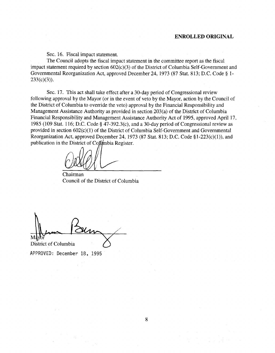Sec. 16. Fiscal impact statement.

The Council adopts the fiscal impact statement in the committee report as the fiscal impact statement required by section 602(c)(3) of the District of Columbia Self-Government and Governmental Reorganization Act, approved December 24, 1973 (87 Stat. 813; D.C. Code § 1-  $233(c)(3)$ ).

Sec. 17. This act shall take effect after a 30-day period of Congressional review following approval by the Mayor (or in the event of veto by the Mayor, action by the Council of the District of Columbia to override the veto) approval by the Financial Responsibility and Management Assistance Authority as provided in section 203(a) of the District of Columbia Financial Responsibility and Management Assistance Authority Act of 1995, approved April 17, 1985 (109 Stat. 116; D.C. Code § 47-392.3(c), and a 30-day period of Congressional review as provided in section 602(c)(1) of the District of Columbia Self-Government and Governmental Reorganization Act, approved December 24, 1973 (87 Stat. 813; D.C. Code §1-223(c)(1)), and publication in the District of Co $\sharp\sharp$ mbia Register.

Chairman Council of the District of Columbia

District of Columbia

**APPROVED:** December 18, 1995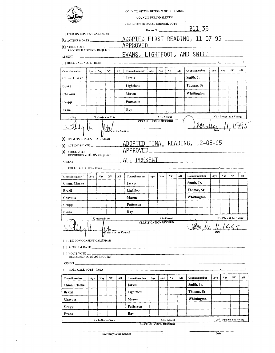|                                                                                                                 |      |                    |                   |                         | COUNCIL OF THE DISTRICT OF COLUMBIA<br><b>COUNCIL PERIOD ELEVEN</b><br>RECORD OF OFFICIAL COUNCIL VOTE |                             |                                   |           |    |               |      |                         |     |
|-----------------------------------------------------------------------------------------------------------------|------|--------------------|-------------------|-------------------------|--------------------------------------------------------------------------------------------------------|-----------------------------|-----------------------------------|-----------|----|---------------|------|-------------------------|-----|
| <b>I ITEM ON CONSENT CALENDAR</b>                                                                               |      |                    |                   |                         |                                                                                                        | Docket No.                  |                                   |           |    | <u>B11-36</u> |      |                         |     |
|                                                                                                                 |      |                    |                   |                         | <u>ADOPTED FIRST READING, 11-07-95</u>                                                                 |                             |                                   |           |    |               |      |                         |     |
|                                                                                                                 |      |                    |                   |                         | APPROVED                                                                                               |                             |                                   |           |    |               |      |                         |     |
| X   VOICE VOTE WOTE ON REQUEST                                                                                  |      |                    |                   |                         | EVANS, LIGHTFOOT, AND SMITH                                                                            |                             |                                   |           |    |               |      |                         |     |
| $ABSENT$ and $T$ and $T$ and $T$                                                                                |      |                    |                   |                         |                                                                                                        |                             |                                   |           |    |               |      |                         |     |
| [ ] ROLL CALL VOTE - Result __________                                                                          |      |                    |                   |                         |                                                                                                        |                             |                                   |           |    |               |      |                         |     |
| Councilmember                                                                                                   | Aye  | Nay.               | ${\bf v} {\bf v}$ | AB                      | Councilmember                                                                                          | Aye                         | Nay                               | ${\bf v}$ | AВ | Councilmember | Aye. | Nay.                    | NV. |
| Chmn. Clarke                                                                                                    |      |                    |                   |                         | Jarvis                                                                                                 |                             |                                   |           |    | Smith, Jr.    |      |                         |     |
| <b>Brazil</b>                                                                                                   |      |                    |                   |                         | Lightfoot                                                                                              |                             |                                   |           |    | Thomas, Sr.   |      |                         |     |
| Chavous                                                                                                         |      |                    |                   |                         | Mason                                                                                                  |                             |                                   |           |    | Whittington   |      |                         |     |
|                                                                                                                 |      |                    |                   |                         | Patterson                                                                                              |                             |                                   |           |    |               |      |                         |     |
| Cropp                                                                                                           |      |                    |                   |                         |                                                                                                        |                             |                                   |           |    |               |      |                         |     |
| Evans                                                                                                           |      |                    |                   |                         | Rav                                                                                                    |                             |                                   |           |    |               |      |                         |     |
|                                                                                                                 |      | X - Indicates Vote |                   |                         | <b>CERTIFICATION RECORD</b>                                                                            |                             | AB - Absent                       |           |    |               |      | NV - Present not Voting |     |
| X <sub>J</sub> ITEM ON CONSENT CALENDAR                                                                         |      |                    |                   | Fretal to the Council   |                                                                                                        |                             |                                   |           |    | la du         |      |                         |     |
| $X$ ACTION & DATE                                                                                               |      |                    |                   |                         | ADOPTED FINAL READING, 12-05-95                                                                        |                             |                                   |           |    |               |      |                         |     |
| $X$ <sup>1</sup> voice vote $-$                                                                                 |      |                    |                   |                         | <u>APPROVED</u>                                                                                        |                             | and the control of the control of |           |    |               |      |                         |     |
|                                                                                                                 |      |                    |                   |                         |                                                                                                        |                             |                                   |           |    |               |      |                         |     |
| RECORDED VOTE ON REQUEST                                                                                        |      |                    |                   |                         |                                                                                                        |                             |                                   |           |    |               |      |                         |     |
| ABSENT                                                                                                          |      |                    |                   |                         | ALL PRESENT                                                                                            |                             |                                   |           |    |               |      |                         |     |
|                                                                                                                 |      |                    |                   |                         |                                                                                                        |                             |                                   |           |    |               |      |                         |     |
| Councilmember                                                                                                   | Aye. | Nay.               | NV.               | AB                      | Councilmember                                                                                          | Aye                         | <b>Nay</b>                        | NV        | AB | Councilmember | Aye. | $\mathbf{v}$            | w   |
| Chmn. Clarke                                                                                                    |      |                    |                   |                         | Jarvis                                                                                                 |                             |                                   |           |    | Smith, Jr.    |      |                         |     |
| Brazil                                                                                                          |      |                    |                   |                         | Lightfoot                                                                                              |                             |                                   |           |    | Thomas, Sr.   |      |                         |     |
| <b>Chavous</b>                                                                                                  |      |                    |                   |                         | Mason                                                                                                  |                             |                                   |           |    | Whittington   |      |                         |     |
| Cropp                                                                                                           |      |                    |                   |                         | Patterson                                                                                              |                             |                                   |           |    |               |      |                         |     |
| Evans                                                                                                           |      |                    |                   |                         | Ray                                                                                                    |                             |                                   |           |    |               |      |                         |     |
|                                                                                                                 |      | X-indicates no     |                   |                         |                                                                                                        |                             |                                   | AB-Absent |    |               |      | NV-Present not voting   |     |
|                                                                                                                 |      |                    |                   |                         |                                                                                                        | <b>CERTIFICATION RECORD</b> |                                   |           |    |               |      |                         |     |
| [ ] ITEM ON CONSENT CALENDAR<br>$\left[\begin{array}{c c} 1 & \text{ACTION & \& \text{DATE} \end{array}\right]$ |      |                    |                   | ecretary to the Council |                                                                                                        |                             |                                   |           |    | Kene Me       |      |                         |     |
| $\left\lbrack \;\; \right\rbrack$ voice vote _____<br>RECORDED VOTE ON REQUEST                                  |      |                    |                   |                         |                                                                                                        |                             |                                   |           |    |               |      |                         |     |
| [ ] ROLL CALL VOTE - Result                                                                                     |      |                    |                   |                         |                                                                                                        |                             |                                   |           |    |               |      |                         |     |
|                                                                                                                 |      |                    |                   |                         |                                                                                                        |                             |                                   |           |    | Councilmember | Ave  | Nay                     | NV. |
| Councilmember                                                                                                   | Aye  | Nay                | NV                | AB                      | Councilmember                                                                                          | Aye                         | Nay                               | NV        | AB |               |      |                         |     |
| Chmn. Clarke                                                                                                    |      |                    |                   |                         | Jarvis                                                                                                 |                             |                                   |           |    | Smith, Jr.    |      |                         |     |
| Brazil                                                                                                          |      |                    |                   |                         | Lightfoot                                                                                              |                             |                                   |           |    | Thomas, Sr.   |      |                         |     |
| Chavous                                                                                                         |      |                    |                   |                         | Mason                                                                                                  |                             |                                   |           |    | Whittington   |      |                         |     |
| Cropp                                                                                                           |      |                    |                   |                         | Patterson                                                                                              |                             |                                   |           |    |               |      |                         |     |

Secretary to the Council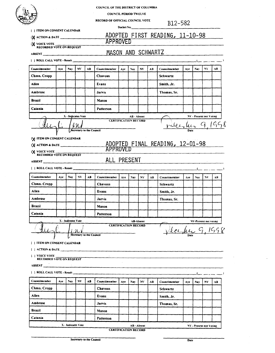|                                                 |     |                    |     |                          | <b>COUNCIL OF THE DISTRICT OF COLUMBIA</b>      |     |             |                |            |                                 |      |                         |     |    |
|-------------------------------------------------|-----|--------------------|-----|--------------------------|-------------------------------------------------|-----|-------------|----------------|------------|---------------------------------|------|-------------------------|-----|----|
|                                                 |     |                    |     |                          | <b>COUNCIL PERIOD TWELVE</b>                    |     |             |                |            |                                 |      |                         |     |    |
|                                                 |     |                    |     |                          | RECORD OF OFFICIAL COUNCIL VOTE                 |     |             |                |            | B12-582                         |      |                         |     |    |
| ITEM ON CONSENT CALENDAR                        |     |                    |     |                          |                                                 |     |             |                | Docket No. |                                 |      |                         |     |    |
| $\mathbf{X}$ action & DATE                      |     |                    |     |                          |                                                 |     |             |                |            | ADOPTED FIRST READING, 11-10-98 |      |                         |     |    |
|                                                 |     |                    |     |                          | APPROVED                                        |     |             |                |            |                                 |      |                         |     |    |
| <b>X</b> VOICE VOTE<br>RECORDED VOTE ON REQUEST |     |                    |     |                          | MASON AND SCHWARTZ                              |     |             |                |            |                                 |      |                         |     |    |
|                                                 |     |                    |     |                          |                                                 |     |             |                |            |                                 |      |                         |     |    |
| ROLL CALL VOTE - Result _____                   |     |                    |     |                          |                                                 |     |             |                |            |                                 |      |                         |     |    |
| Councilmember                                   | Aye | Nay                | NV  | AB                       | Councilmember                                   | Aye | Nay.        | $N$ V          | AB         | Councilmember                   | Aye  | Nav.                    | NV. | АB |
| Chmn. Cropp                                     |     |                    |     |                          | Chavous                                         |     |             |                |            | Schwartz                        |      |                         |     |    |
| Allen                                           |     |                    |     |                          | <b>Evans</b>                                    |     |             |                |            | Smith, Jr.                      |      |                         |     |    |
| Ambrose                                         |     |                    |     |                          | Jarvis                                          |     |             |                |            | Thomas, Sr.                     |      |                         |     |    |
| Brazil                                          |     |                    |     |                          | Mason                                           |     |             |                |            |                                 |      |                         |     |    |
| Catania                                         |     |                    |     |                          | Patterson                                       |     |             |                |            |                                 |      |                         |     |    |
|                                                 |     | X - Indicates Vote |     |                          |                                                 |     | AB - Absent |                |            |                                 |      | NV - Present not Voting |     |    |
|                                                 |     |                    |     |                          | <b>CERTIFICATION RECORD</b>                     |     |             |                |            |                                 |      |                         |     |    |
|                                                 |     |                    |     | Secretary to the Council |                                                 |     |             |                |            | recepter 9,                     |      |                         |     |    |
| IX VOICE VOTE ON REQUEST                        |     |                    |     |                          |                                                 |     |             |                |            |                                 |      |                         |     |    |
|                                                 |     |                    |     |                          |                                                 |     |             |                |            |                                 |      |                         |     |    |
| ABSENT ABSENT                                   |     |                    |     |                          |                                                 |     |             |                |            |                                 |      |                         |     |    |
|                                                 |     |                    |     |                          |                                                 |     |             |                |            |                                 |      |                         |     |    |
| [   ROLL CALL VOTE - Result __________          |     |                    |     |                          |                                                 |     |             |                |            |                                 |      |                         |     |    |
| Councilmember                                   | Ave | <b>Nav</b>         | NV  | AB                       | Councilmember                                   | Ave | Nav         | NV             | AВ         | Councilmember                   |      |                         | NV. |    |
|                                                 |     |                    |     |                          | <b>Chavous</b>                                  |     |             |                |            |                                 | Ave. | Nav.                    |     |    |
| Chmn. Cropp<br>Ailen                            |     |                    |     |                          | <b>Evans</b>                                    |     |             |                |            | Schwartz                        |      |                         |     |    |
| Ambrose                                         |     |                    |     |                          | <b>Jarvis</b>                                   |     |             |                |            | Smith, Jr.<br>Thomas, Sr.       |      |                         |     |    |
| <b>Brazil</b>                                   |     |                    |     |                          |                                                 |     |             |                |            |                                 |      |                         |     |    |
| Catania                                         |     |                    |     |                          | Mason                                           |     |             |                |            |                                 |      |                         |     |    |
|                                                 |     |                    |     |                          | Patterson                                       |     |             |                |            |                                 |      |                         |     |    |
|                                                 |     | X - Indicates Vote |     |                          | <b>CERTIFICATION RECORD</b>                     |     |             | AB-Absent      |            |                                 |      | NV-Present not voting   |     |    |
|                                                 |     |                    |     |                          |                                                 |     |             |                |            |                                 |      |                         |     |    |
|                                                 |     |                    |     | Secretary to the Council |                                                 |     |             |                |            | Vlacher 9, 1998                 |      |                         |     |    |
| <b>I I ITEM ON CONSENT CALENDAR</b>             |     |                    |     |                          |                                                 |     |             |                |            |                                 |      |                         |     |    |
|                                                 |     |                    |     |                          |                                                 |     |             |                |            |                                 |      |                         |     |    |
| VOJCE VOTE<br><b>RECORDED VOTE ON REQUEST</b>   |     |                    |     |                          | the contract of the contract of the contract of |     |             |                |            |                                 |      |                         |     |    |
|                                                 |     |                    |     |                          | ABSENT                                          |     |             |                |            |                                 |      |                         |     |    |
|                                                 |     |                    |     |                          |                                                 |     |             |                |            |                                 |      |                         |     | ĄВ |
| Councilmember                                   | Aye | Nay.               | NV. | AB.                      | Councilmember                                   | Ave | Nay.        | N <sub>V</sub> | АB         | Councilmember                   |      | <b>Nav</b>              | NV. | AВ |
| Chmn. Cropp                                     |     |                    |     |                          | Chavous                                         |     |             |                |            | <b>Schwartz</b>                 | Aye  |                         |     |    |
| Allen                                           |     |                    |     |                          | Evans                                           |     |             |                |            |                                 |      |                         |     |    |
| Ambrose                                         |     |                    |     |                          |                                                 |     |             |                |            | Smith, Jr.                      |      |                         |     |    |
| Brazil                                          |     |                    |     |                          | Jarvis                                          |     |             |                |            | Thomas, Sr.                     |      |                         |     |    |
| Catania                                         |     |                    |     |                          | Mason                                           |     |             |                |            |                                 |      |                         |     |    |
|                                                 |     | X - Indicates Vote |     |                          | Patterson                                       |     | AB - Absent |                |            |                                 |      | NV - Present not Voting |     |    |

V,